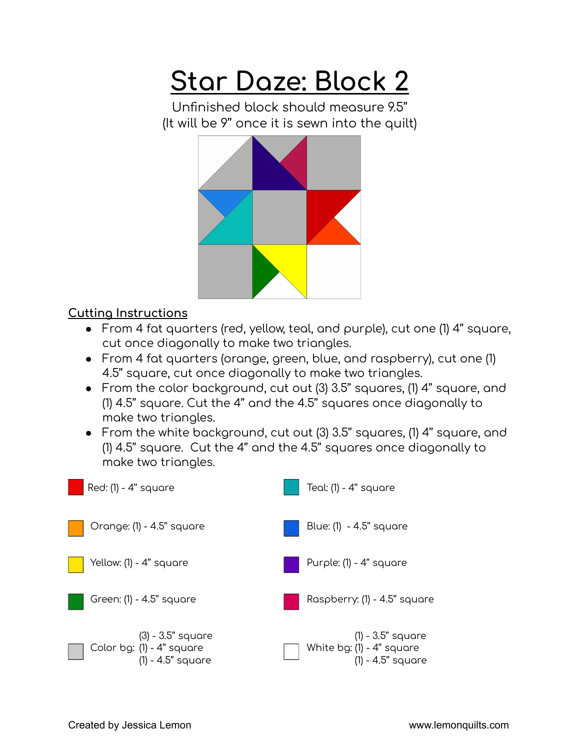## **Star Daze: Block 2**

Unfinished block should measure 9.5'' (It will be 9'' once it is sewn into the quilt)



## **Cutting Instructions**

- From 4 fat quarters (red, yellow, teal, and purple), cut one (1) 4'' square, cut once diagonally to make two triangles.
- From 4 fat quarters (orange, green, blue, and raspberry), cut one (1) 4.5'' square, cut once diagonally to make two triangles.
- From the color background, cut out (3) 3.5'' squares, (1) 4'' square, and (1) 4.5'' square. Cut the 4'' and the 4.5'' squares once diagonally to make two triangles.
- From the white background, cut out (3) 3.5'' squares, (1) 4'' square, and (1) 4.5'' square. Cut the 4'' and the 4.5'' squares once diagonally to make two triangles.

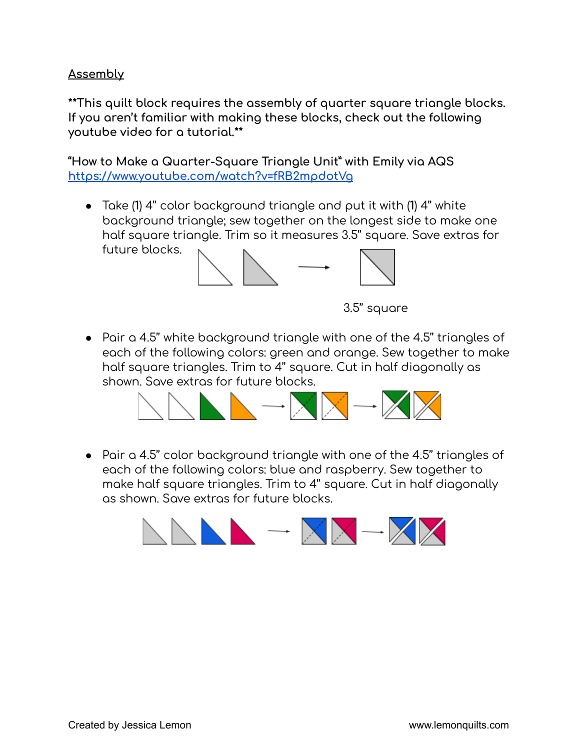## **Assembly**

**\*\*This quilt block requires the assembly of quarter square triangle blocks. If you aren't familiar with making these blocks, check out the following youtube video for a tutorial.\*\***

**"How to Make a Quarter-Square Triangle Unit" with Emily via AQS <https://www.youtube.com/watch?v=fRB2mpdotVg>**

● Take (**1**) 4'' color background triangle and put it with (**1**) 4'' white background triangle; sew together on the longest side to make one half square triangle. Trim so it measures 3.5'' square. Save extras for future blocks.



3.5'' square

● Pair a 4.5'' white background triangle with one of the 4.5'' triangles of each of the following colors: green and orange. Sew together to make half square triangles. Trim to 4'' square. Cut in half diagonally as shown. Save extras for future blocks.



● Pair a 4.5'' color background triangle with one of the 4.5'' triangles of each of the following colors: blue and raspberry. Sew together to make half square triangles. Trim to 4'' square. Cut in half diagonally as shown. Save extras for future blocks.

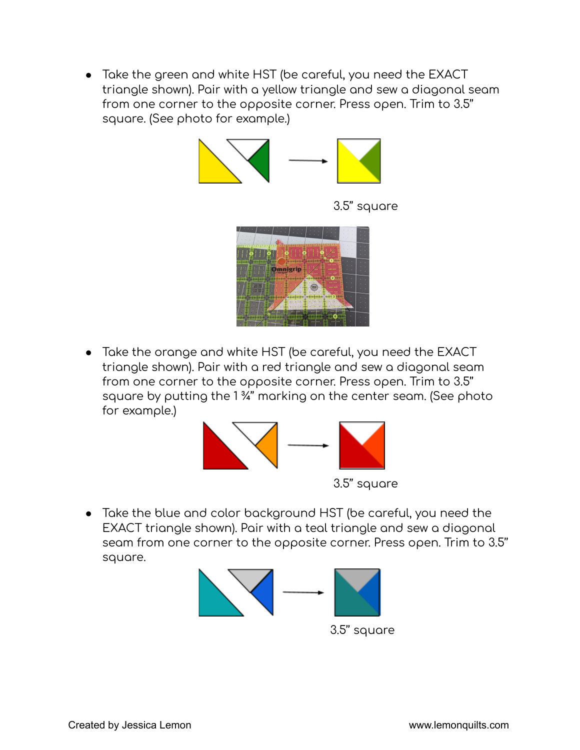● Take the green and white HST (be careful, you need the EXACT triangle shown). Pair with a yellow triangle and sew a diagonal seam from one corner to the opposite corner. Press open. Trim to 3.5'' square. (See photo for example.)



3.5'' square



● Take the orange and white HST (be careful, you need the EXACT triangle shown). Pair with a red triangle and sew a diagonal seam from one corner to the opposite corner. Press open. Trim to 3.5'' square by putting the 1 ¾'' marking on the center seam. (See photo for example.)



● Take the blue and color background HST (be careful, you need the EXACT triangle shown). Pair with a teal triangle and sew a diagonal seam from one corner to the opposite corner. Press open. Trim to 3.5'' square.



3.5'' square